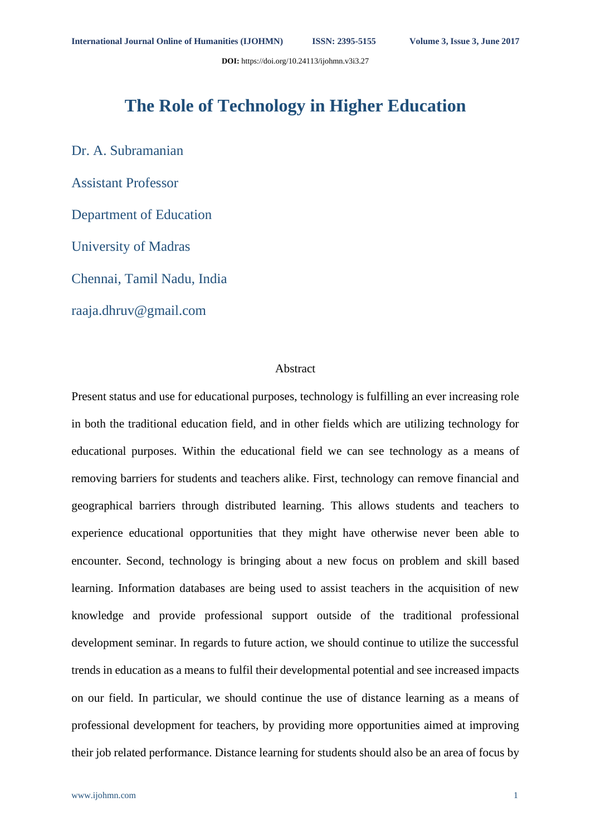**DOI:** https://doi.org/10.24113/ijohmn.v3i3.27

# **The Role of Technology in Higher Education**

Dr. A. Subramanian Assistant Professor Department of Education University of Madras Chennai, Tamil Nadu, India

raaja.dhruv@gmail.com

## Abstract

Present status and use for educational purposes, technology is fulfilling an ever increasing role in both the traditional education field, and in other fields which are utilizing technology for educational purposes. Within the educational field we can see technology as a means of removing barriers for students and teachers alike. First, technology can remove financial and geographical barriers through distributed learning. This allows students and teachers to experience educational opportunities that they might have otherwise never been able to encounter. Second, technology is bringing about a new focus on problem and skill based learning. Information databases are being used to assist teachers in the acquisition of new knowledge and provide professional support outside of the traditional professional development seminar. In regards to future action, we should continue to utilize the successful trends in education as a means to fulfil their developmental potential and see increased impacts on our field. In particular, we should continue the use of distance learning as a means of professional development for teachers, by providing more opportunities aimed at improving their job related performance. Distance learning for students should also be an area of focus by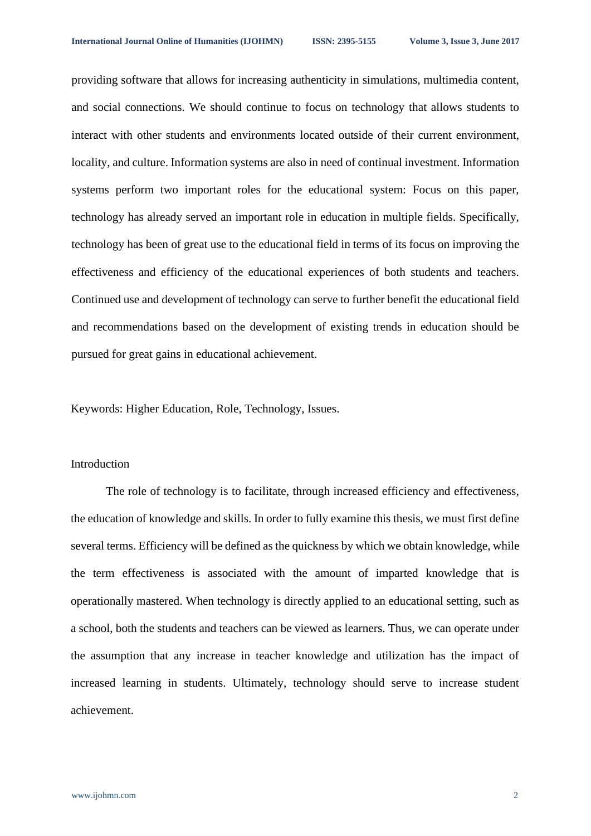providing software that allows for increasing authenticity in simulations, multimedia content, and social connections. We should continue to focus on technology that allows students to interact with other students and environments located outside of their current environment, locality, and culture. Information systems are also in need of continual investment. Information systems perform two important roles for the educational system: Focus on this paper, technology has already served an important role in education in multiple fields. Specifically, technology has been of great use to the educational field in terms of its focus on improving the effectiveness and efficiency of the educational experiences of both students and teachers. Continued use and development of technology can serve to further benefit the educational field and recommendations based on the development of existing trends in education should be pursued for great gains in educational achievement.

Keywords: Higher Education, Role, Technology, Issues.

## Introduction

The role of technology is to facilitate, through increased efficiency and effectiveness, the education of knowledge and skills. In order to fully examine this thesis, we must first define several terms. Efficiency will be defined as the quickness by which we obtain knowledge, while the term effectiveness is associated with the amount of imparted knowledge that is operationally mastered. When technology is directly applied to an educational setting, such as a school, both the students and teachers can be viewed as learners. Thus, we can operate under the assumption that any increase in teacher knowledge and utilization has the impact of increased learning in students. Ultimately, technology should serve to increase student achievement.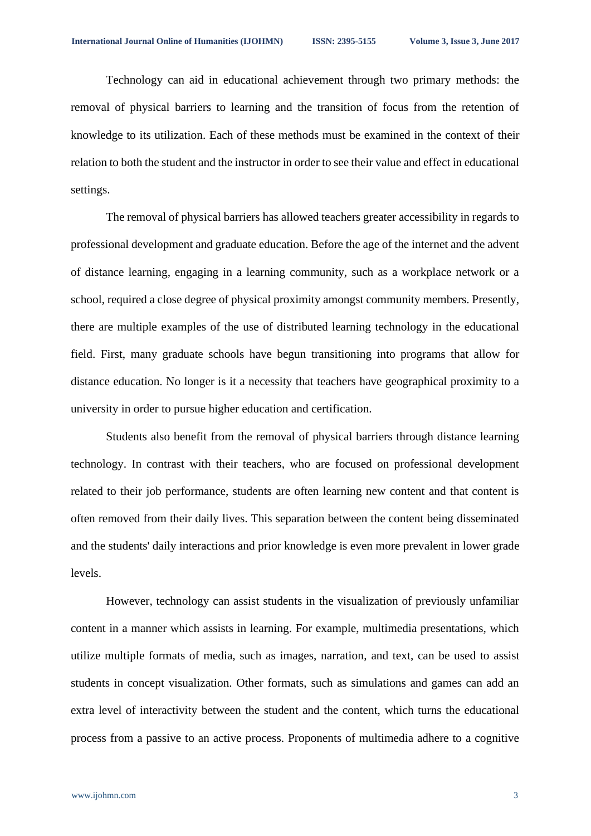Technology can aid in educational achievement through two primary methods: the removal of physical barriers to learning and the transition of focus from the retention of knowledge to its utilization. Each of these methods must be examined in the context of their relation to both the student and the instructor in order to see their value and effect in educational settings.

The removal of physical barriers has allowed teachers greater accessibility in regards to professional development and graduate education. Before the age of the internet and the advent of distance learning, engaging in a learning community, such as a workplace network or a school, required a close degree of physical proximity amongst community members. Presently, there are multiple examples of the use of distributed learning technology in the educational field. First, many graduate schools have begun transitioning into programs that allow for distance education. No longer is it a necessity that teachers have geographical proximity to a university in order to pursue higher education and certification.

Students also benefit from the removal of physical barriers through distance learning technology. In contrast with their teachers, who are focused on professional development related to their job performance, students are often learning new content and that content is often removed from their daily lives. This separation between the content being disseminated and the students' daily interactions and prior knowledge is even more prevalent in lower grade levels.

However, technology can assist students in the visualization of previously unfamiliar content in a manner which assists in learning. For example, multimedia presentations, which utilize multiple formats of media, such as images, narration, and text, can be used to assist students in concept visualization. Other formats, such as simulations and games can add an extra level of interactivity between the student and the content, which turns the educational process from a passive to an active process. Proponents of multimedia adhere to a cognitive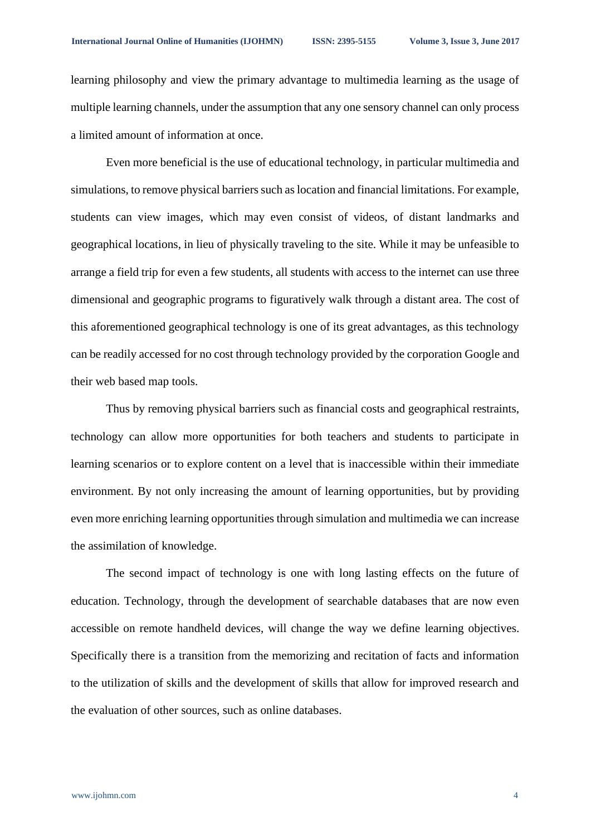learning philosophy and view the primary advantage to multimedia learning as the usage of multiple learning channels, under the assumption that any one sensory channel can only process a limited amount of information at once.

Even more beneficial is the use of educational technology, in particular multimedia and simulations, to remove physical barriers such as location and financial limitations. For example, students can view images, which may even consist of videos, of distant landmarks and geographical locations, in lieu of physically traveling to the site. While it may be unfeasible to arrange a field trip for even a few students, all students with access to the internet can use three dimensional and geographic programs to figuratively walk through a distant area. The cost of this aforementioned geographical technology is one of its great advantages, as this technology can be readily accessed for no cost through technology provided by the corporation Google and their web based map tools.

Thus by removing physical barriers such as financial costs and geographical restraints, technology can allow more opportunities for both teachers and students to participate in learning scenarios or to explore content on a level that is inaccessible within their immediate environment. By not only increasing the amount of learning opportunities, but by providing even more enriching learning opportunities through simulation and multimedia we can increase the assimilation of knowledge.

The second impact of technology is one with long lasting effects on the future of education. Technology, through the development of searchable databases that are now even accessible on remote handheld devices, will change the way we define learning objectives. Specifically there is a transition from the memorizing and recitation of facts and information to the utilization of skills and the development of skills that allow for improved research and the evaluation of other sources, such as online databases.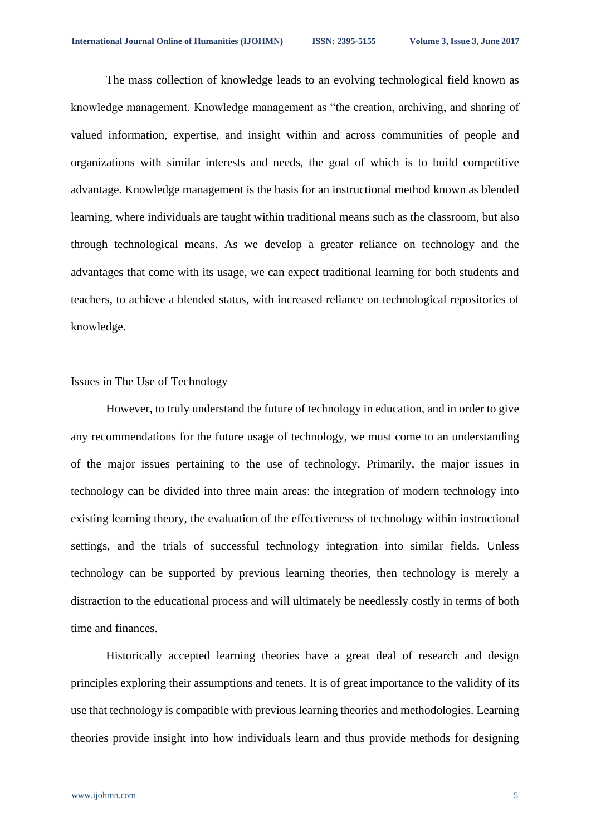The mass collection of knowledge leads to an evolving technological field known as knowledge management. Knowledge management as "the creation, archiving, and sharing of valued information, expertise, and insight within and across communities of people and organizations with similar interests and needs, the goal of which is to build competitive advantage. Knowledge management is the basis for an instructional method known as blended learning, where individuals are taught within traditional means such as the classroom, but also through technological means. As we develop a greater reliance on technology and the advantages that come with its usage, we can expect traditional learning for both students and teachers, to achieve a blended status, with increased reliance on technological repositories of knowledge.

#### Issues in The Use of Technology

However, to truly understand the future of technology in education, and in order to give any recommendations for the future usage of technology, we must come to an understanding of the major issues pertaining to the use of technology. Primarily, the major issues in technology can be divided into three main areas: the integration of modern technology into existing learning theory, the evaluation of the effectiveness of technology within instructional settings, and the trials of successful technology integration into similar fields. Unless technology can be supported by previous learning theories, then technology is merely a distraction to the educational process and will ultimately be needlessly costly in terms of both time and finances.

Historically accepted learning theories have a great deal of research and design principles exploring their assumptions and tenets. It is of great importance to the validity of its use that technology is compatible with previous learning theories and methodologies. Learning theories provide insight into how individuals learn and thus provide methods for designing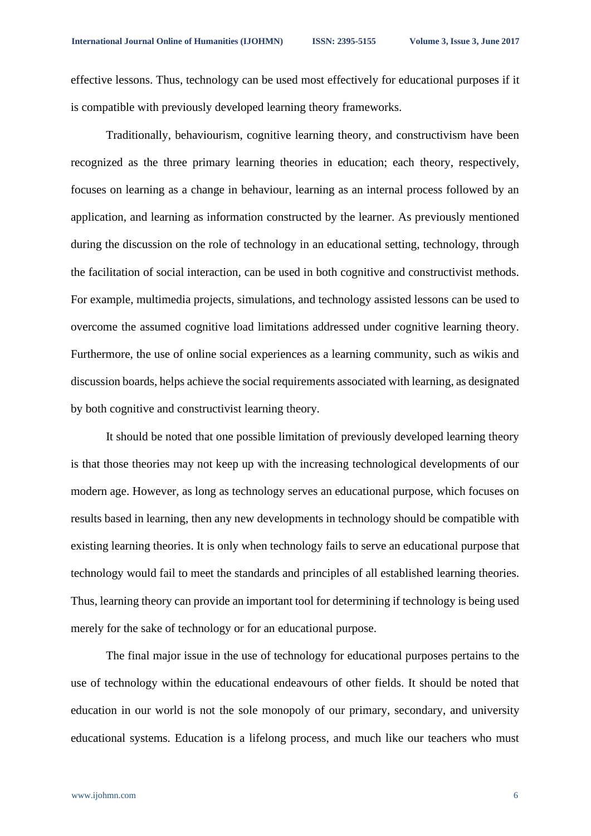effective lessons. Thus, technology can be used most effectively for educational purposes if it is compatible with previously developed learning theory frameworks.

Traditionally, behaviourism, cognitive learning theory, and constructivism have been recognized as the three primary learning theories in education; each theory, respectively, focuses on learning as a change in behaviour, learning as an internal process followed by an application, and learning as information constructed by the learner. As previously mentioned during the discussion on the role of technology in an educational setting, technology, through the facilitation of social interaction, can be used in both cognitive and constructivist methods. For example, multimedia projects, simulations, and technology assisted lessons can be used to overcome the assumed cognitive load limitations addressed under cognitive learning theory. Furthermore, the use of online social experiences as a learning community, such as wikis and discussion boards, helps achieve the social requirements associated with learning, as designated by both cognitive and constructivist learning theory.

It should be noted that one possible limitation of previously developed learning theory is that those theories may not keep up with the increasing technological developments of our modern age. However, as long as technology serves an educational purpose, which focuses on results based in learning, then any new developments in technology should be compatible with existing learning theories. It is only when technology fails to serve an educational purpose that technology would fail to meet the standards and principles of all established learning theories. Thus, learning theory can provide an important tool for determining if technology is being used merely for the sake of technology or for an educational purpose.

The final major issue in the use of technology for educational purposes pertains to the use of technology within the educational endeavours of other fields. It should be noted that education in our world is not the sole monopoly of our primary, secondary, and university educational systems. Education is a lifelong process, and much like our teachers who must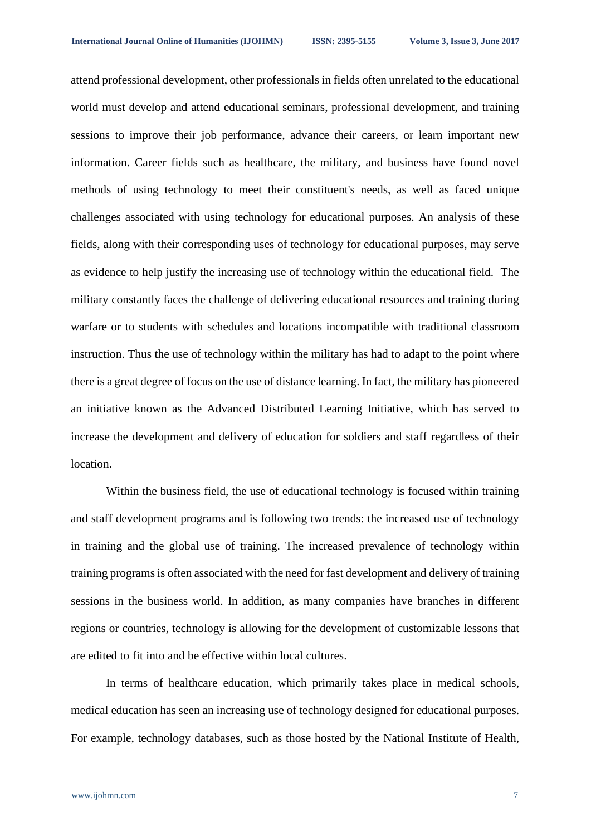attend professional development, other professionals in fields often unrelated to the educational world must develop and attend educational seminars, professional development, and training sessions to improve their job performance, advance their careers, or learn important new information. Career fields such as healthcare, the military, and business have found novel methods of using technology to meet their constituent's needs, as well as faced unique challenges associated with using technology for educational purposes. An analysis of these fields, along with their corresponding uses of technology for educational purposes, may serve as evidence to help justify the increasing use of technology within the educational field. The military constantly faces the challenge of delivering educational resources and training during warfare or to students with schedules and locations incompatible with traditional classroom instruction. Thus the use of technology within the military has had to adapt to the point where there is a great degree of focus on the use of distance learning. In fact, the military has pioneered an initiative known as the Advanced Distributed Learning Initiative, which has served to increase the development and delivery of education for soldiers and staff regardless of their location.

Within the business field, the use of educational technology is focused within training and staff development programs and is following two trends: the increased use of technology in training and the global use of training. The increased prevalence of technology within training programs is often associated with the need for fast development and delivery of training sessions in the business world. In addition, as many companies have branches in different regions or countries, technology is allowing for the development of customizable lessons that are edited to fit into and be effective within local cultures.

In terms of healthcare education, which primarily takes place in medical schools, medical education has seen an increasing use of technology designed for educational purposes. For example, technology databases, such as those hosted by the National Institute of Health,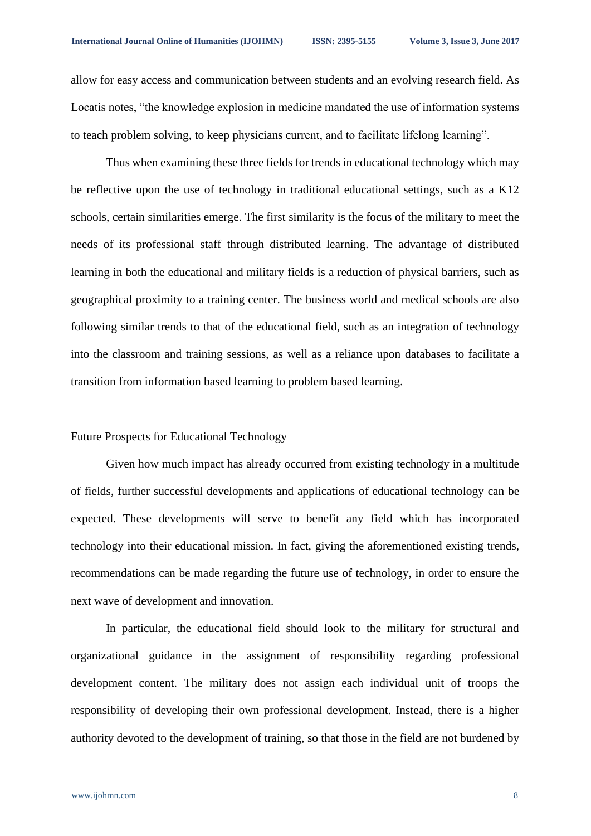allow for easy access and communication between students and an evolving research field. As Locatis notes, "the knowledge explosion in medicine mandated the use of information systems to teach problem solving, to keep physicians current, and to facilitate lifelong learning".

Thus when examining these three fields for trends in educational technology which may be reflective upon the use of technology in traditional educational settings, such as a K12 schools, certain similarities emerge. The first similarity is the focus of the military to meet the needs of its professional staff through distributed learning. The advantage of distributed learning in both the educational and military fields is a reduction of physical barriers, such as geographical proximity to a training center. The business world and medical schools are also following similar trends to that of the educational field, such as an integration of technology into the classroom and training sessions, as well as a reliance upon databases to facilitate a transition from information based learning to problem based learning.

### Future Prospects for Educational Technology

Given how much impact has already occurred from existing technology in a multitude of fields, further successful developments and applications of educational technology can be expected. These developments will serve to benefit any field which has incorporated technology into their educational mission. In fact, giving the aforementioned existing trends, recommendations can be made regarding the future use of technology, in order to ensure the next wave of development and innovation.

In particular, the educational field should look to the military for structural and organizational guidance in the assignment of responsibility regarding professional development content. The military does not assign each individual unit of troops the responsibility of developing their own professional development. Instead, there is a higher authority devoted to the development of training, so that those in the field are not burdened by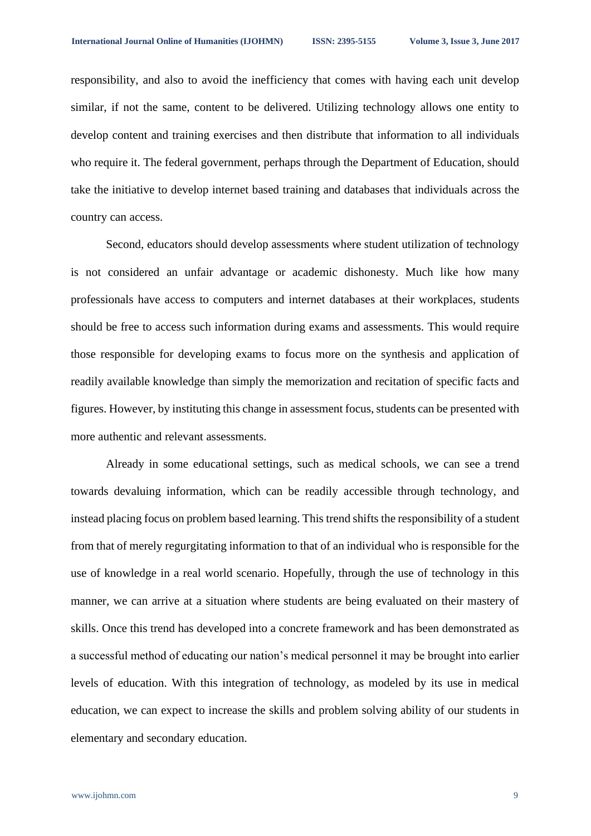responsibility, and also to avoid the inefficiency that comes with having each unit develop similar, if not the same, content to be delivered. Utilizing technology allows one entity to develop content and training exercises and then distribute that information to all individuals who require it. The federal government, perhaps through the Department of Education, should take the initiative to develop internet based training and databases that individuals across the country can access.

Second, educators should develop assessments where student utilization of technology is not considered an unfair advantage or academic dishonesty. Much like how many professionals have access to computers and internet databases at their workplaces, students should be free to access such information during exams and assessments. This would require those responsible for developing exams to focus more on the synthesis and application of readily available knowledge than simply the memorization and recitation of specific facts and figures. However, by instituting this change in assessment focus, students can be presented with more authentic and relevant assessments.

Already in some educational settings, such as medical schools, we can see a trend towards devaluing information, which can be readily accessible through technology, and instead placing focus on problem based learning. This trend shifts the responsibility of a student from that of merely regurgitating information to that of an individual who is responsible for the use of knowledge in a real world scenario. Hopefully, through the use of technology in this manner, we can arrive at a situation where students are being evaluated on their mastery of skills. Once this trend has developed into a concrete framework and has been demonstrated as a successful method of educating our nation's medical personnel it may be brought into earlier levels of education. With this integration of technology, as modeled by its use in medical education, we can expect to increase the skills and problem solving ability of our students in elementary and secondary education.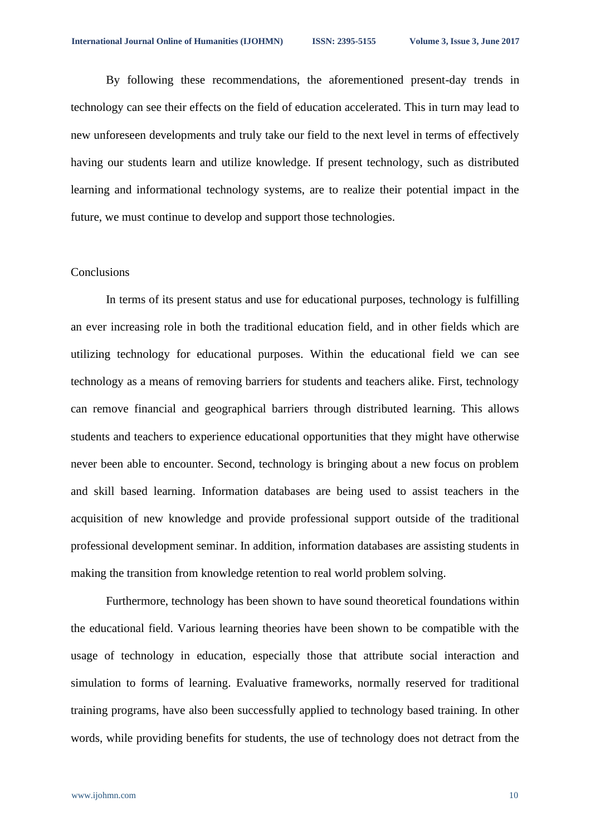By following these recommendations, the aforementioned present-day trends in technology can see their effects on the field of education accelerated. This in turn may lead to new unforeseen developments and truly take our field to the next level in terms of effectively having our students learn and utilize knowledge. If present technology, such as distributed learning and informational technology systems, are to realize their potential impact in the future, we must continue to develop and support those technologies.

## Conclusions

In terms of its present status and use for educational purposes, technology is fulfilling an ever increasing role in both the traditional education field, and in other fields which are utilizing technology for educational purposes. Within the educational field we can see technology as a means of removing barriers for students and teachers alike. First, technology can remove financial and geographical barriers through distributed learning. This allows students and teachers to experience educational opportunities that they might have otherwise never been able to encounter. Second, technology is bringing about a new focus on problem and skill based learning. Information databases are being used to assist teachers in the acquisition of new knowledge and provide professional support outside of the traditional professional development seminar. In addition, information databases are assisting students in making the transition from knowledge retention to real world problem solving.

Furthermore, technology has been shown to have sound theoretical foundations within the educational field. Various learning theories have been shown to be compatible with the usage of technology in education, especially those that attribute social interaction and simulation to forms of learning. Evaluative frameworks, normally reserved for traditional training programs, have also been successfully applied to technology based training. In other words, while providing benefits for students, the use of technology does not detract from the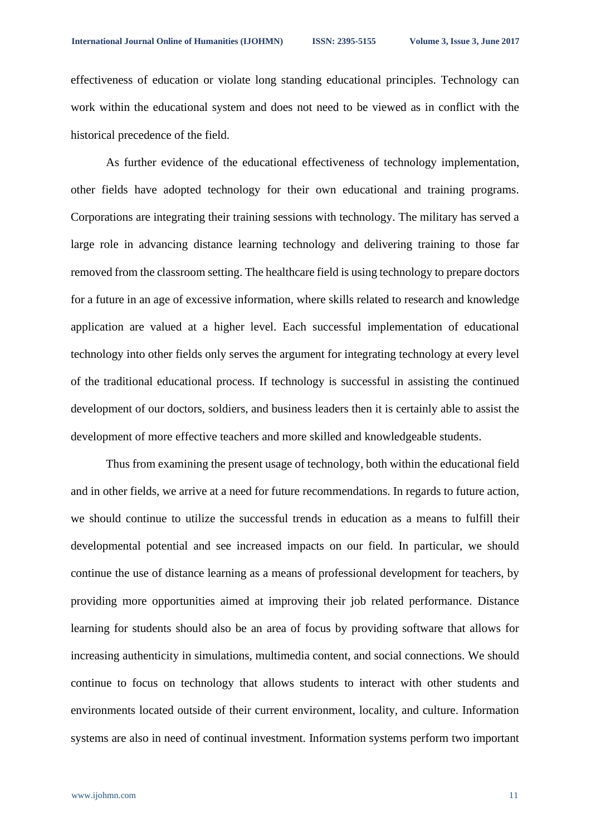effectiveness of education or violate long standing educational principles. Technology can work within the educational system and does not need to be viewed as in conflict with the historical precedence of the field.

As further evidence of the educational effectiveness of technology implementation, other fields have adopted technology for their own educational and training programs. Corporations are integrating their training sessions with technology. The military has served a large role in advancing distance learning technology and delivering training to those far removed from the classroom setting. The healthcare field is using technology to prepare doctors for a future in an age of excessive information, where skills related to research and knowledge application are valued at a higher level. Each successful implementation of educational technology into other fields only serves the argument for integrating technology at every level of the traditional educational process. If technology is successful in assisting the continued development of our doctors, soldiers, and business leaders then it is certainly able to assist the development of more effective teachers and more skilled and knowledgeable students.

Thus from examining the present usage of technology, both within the educational field and in other fields, we arrive at a need for future recommendations. In regards to future action, we should continue to utilize the successful trends in education as a means to fulfill their developmental potential and see increased impacts on our field. In particular, we should continue the use of distance learning as a means of professional development for teachers, by providing more opportunities aimed at improving their job related performance. Distance learning for students should also be an area of focus by providing software that allows for increasing authenticity in simulations, multimedia content, and social connections. We should continue to focus on technology that allows students to interact with other students and environments located outside of their current environment, locality, and culture. Information systems are also in need of continual investment. Information systems perform two important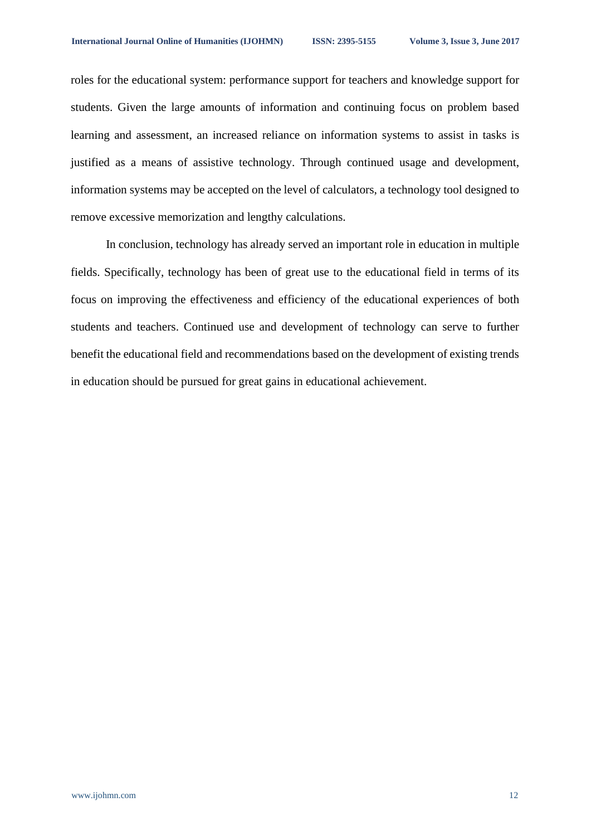roles for the educational system: performance support for teachers and knowledge support for students. Given the large amounts of information and continuing focus on problem based learning and assessment, an increased reliance on information systems to assist in tasks is justified as a means of assistive technology. Through continued usage and development, information systems may be accepted on the level of calculators, a technology tool designed to remove excessive memorization and lengthy calculations.

In conclusion, technology has already served an important role in education in multiple fields. Specifically, technology has been of great use to the educational field in terms of its focus on improving the effectiveness and efficiency of the educational experiences of both students and teachers. Continued use and development of technology can serve to further benefit the educational field and recommendations based on the development of existing trends in education should be pursued for great gains in educational achievement.